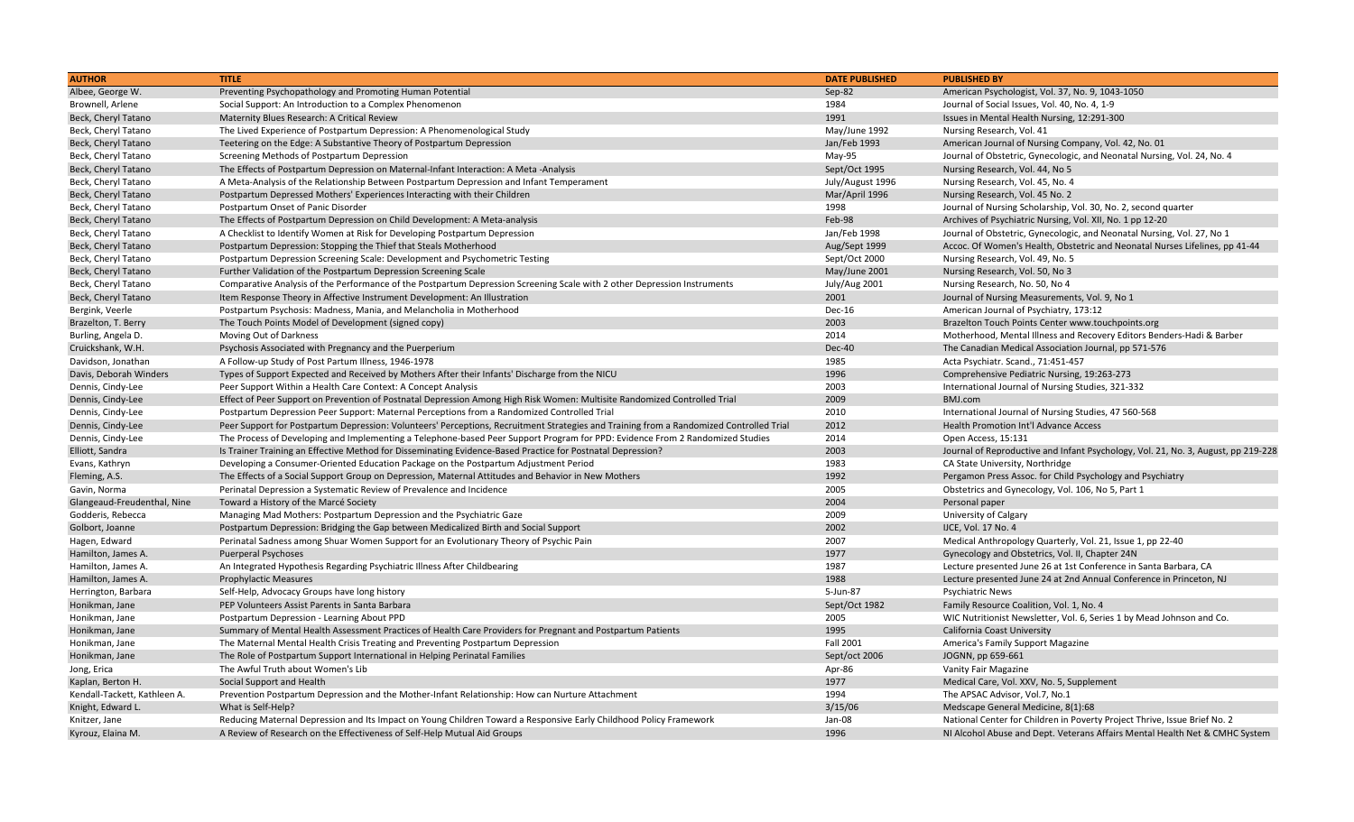| <b>AUTHOR</b>                | <b>TITLE</b>                                                                                                                            | <b>DATE PUBLISHED</b> | <b>PUBLISHED BY</b>                                                               |
|------------------------------|-----------------------------------------------------------------------------------------------------------------------------------------|-----------------------|-----------------------------------------------------------------------------------|
| Albee, George W.             | Preventing Psychopathology and Promoting Human Potential                                                                                | Sep-82                | American Psychologist, Vol. 37, No. 9, 1043-1050                                  |
| Brownell, Arlene             | Social Support: An Introduction to a Complex Phenomenon                                                                                 | 1984                  | Journal of Social Issues, Vol. 40, No. 4, 1-9                                     |
| Beck, Cheryl Tatano          | Maternity Blues Research: A Critical Review                                                                                             | 1991                  | Issues in Mental Health Nursing, 12:291-300                                       |
| Beck, Cheryl Tatano          | The Lived Experience of Postpartum Depression: A Phenomenological Study                                                                 | May/June 1992         | Nursing Research, Vol. 41                                                         |
| Beck, Cheryl Tatano          | Teetering on the Edge: A Substantive Theory of Postpartum Depression                                                                    | Jan/Feb 1993          | American Journal of Nursing Company, Vol. 42, No. 01                              |
| Beck, Cheryl Tatano          | Screening Methods of Postpartum Depression                                                                                              | $May-95$              | Journal of Obstetric, Gynecologic, and Neonatal Nursing, Vol. 24, No. 4           |
| Beck, Cheryl Tatano          | The Effects of Postpartum Depression on Maternal-Infant Interaction: A Meta -Analysis                                                   | Sept/Oct 1995         | Nursing Research, Vol. 44, No 5                                                   |
| Beck, Cheryl Tatano          | A Meta-Analysis of the Relationship Between Postpartum Depression and Infant Temperament                                                | July/August 1996      | Nursing Research, Vol. 45, No. 4                                                  |
| Beck, Cheryl Tatano          | Postpartum Depressed Mothers' Experiences Interacting with their Children                                                               | Mar/April 1996        | Nursing Research, Vol. 45 No. 2                                                   |
| Beck, Cheryl Tatano          | Postpartum Onset of Panic Disorder                                                                                                      | 1998                  | Journal of Nursing Scholarship, Vol. 30, No. 2, second quarter                    |
| Beck, Cheryl Tatano          | The Effects of Postpartum Depression on Child Development: A Meta-analysis                                                              | Feb-98                | Archives of Psychiatric Nursing, Vol. XII, No. 1 pp 12-20                         |
| Beck, Cheryl Tatano          | A Checklist to Identify Women at Risk for Developing Postpartum Depression                                                              | Jan/Feb 1998          | Journal of Obstetric, Gynecologic, and Neonatal Nursing, Vol. 27, No 1            |
| Beck, Cheryl Tatano          | Postpartum Depression: Stopping the Thief that Steals Motherhood                                                                        | Aug/Sept 1999         | Accoc. Of Women's Health, Obstetric and Neonatal Nurses Lifelines, pp 41-44       |
| Beck, Cheryl Tatano          | Postpartum Depression Screening Scale: Development and Psychometric Testing                                                             | Sept/Oct 2000         | Nursing Research, Vol. 49, No. 5                                                  |
| Beck, Cheryl Tatano          | Further Validation of the Postpartum Depression Screening Scale                                                                         | May/June 2001         | Nursing Research, Vol. 50, No 3                                                   |
| Beck, Cheryl Tatano          | Comparative Analysis of the Performance of the Postpartum Depression Screening Scale with 2 other Depression Instruments                | July/Aug 2001         | Nursing Research, No. 50, No 4                                                    |
| Beck, Cheryl Tatano          | Item Response Theory in Affective Instrument Development: An Illustration                                                               | 2001                  | Journal of Nursing Measurements, Vol. 9, No 1                                     |
| Bergink, Veerle              | Postpartum Psychosis: Madness, Mania, and Melancholia in Motherhood                                                                     | Dec-16                | American Journal of Psychiatry, 173:12                                            |
| Brazelton, T. Berry          | The Touch Points Model of Development (signed copy)                                                                                     | 2003                  | Brazelton Touch Points Center www.touchpoints.org                                 |
| Burling, Angela D.           | Moving Out of Darkness                                                                                                                  | 2014                  | Motherhood, Mental Illness and Recovery Editors Benders-Hadi & Barber             |
| Cruickshank, W.H.            | Psychosis Associated with Pregnancy and the Puerperium                                                                                  | Dec-40                | The Canadian Medical Association Journal, pp 571-576                              |
| Davidson, Jonathan           | A Follow-up Study of Post Partum Illness, 1946-1978                                                                                     | 1985                  | Acta Psychiatr. Scand., 71:451-457                                                |
| Davis, Deborah Winders       | Types of Support Expected and Received by Mothers After their Infants' Discharge from the NICU                                          | 1996                  | Comprehensive Pediatric Nursing, 19:263-273                                       |
| Dennis, Cindy-Lee            | Peer Support Within a Health Care Context: A Concept Analysis                                                                           | 2003                  | International Journal of Nursing Studies, 321-332                                 |
| Dennis, Cindy-Lee            | Effect of Peer Support on Prevention of Postnatal Depression Among High Risk Women: Multisite Randomized Controlled Trial               | 2009                  | BMJ.com                                                                           |
| Dennis, Cindy-Lee            | Postpartum Depression Peer Support: Maternal Perceptions from a Randomized Controlled Trial                                             | 2010                  | International Journal of Nursing Studies, 47 560-568                              |
| Dennis, Cindy-Lee            | Peer Support for Postpartum Depression: Volunteers' Perceptions, Recruitment Strategies and Training from a Randomized Controlled Trial | 2012                  | <b>Health Promotion Int'l Advance Access</b>                                      |
| Dennis, Cindy-Lee            | The Process of Developing and Implementing a Telephone-based Peer Support Program for PPD: Evidence From 2 Randomized Studies           | 2014                  | Open Access, 15:131                                                               |
| Elliott, Sandra              | Is Trainer Training an Effective Method for Disseminating Evidence-Based Practice for Postnatal Depression?                             | 2003                  | Journal of Reproductive and Infant Psychology, Vol. 21, No. 3, August, pp 219-228 |
| Evans, Kathryn               | Developing a Consumer-Oriented Education Package on the Postpartum Adjustment Period                                                    | 1983                  | CA State University, Northridge                                                   |
| Fleming, A.S.                | The Effects of a Social Support Group on Depression, Maternal Attitudes and Behavior in New Mothers                                     | 1992                  | Pergamon Press Assoc. for Child Psychology and Psychiatry                         |
| Gavin, Norma                 | Perinatal Depression a Systematic Review of Prevalence and Incidence                                                                    | 2005                  | Obstetrics and Gynecology, Vol. 106, No 5, Part 1                                 |
| Glangeaud-Freudenthal, Nine  | Toward a History of the Marcé Society                                                                                                   | 2004                  | Personal paper                                                                    |
| Godderis, Rebecca            | Managing Mad Mothers: Postpartum Depression and the Psychiatric Gaze                                                                    | 2009                  | University of Calgary                                                             |
| Golbort, Joanne              | Postpartum Depression: Bridging the Gap between Medicalized Birth and Social Support                                                    | 2002                  | IJCE, Vol. 17 No. 4                                                               |
| Hagen, Edward                | Perinatal Sadness among Shuar Women Support for an Evolutionary Theory of Psychic Pain                                                  | 2007                  | Medical Anthropology Quarterly, Vol. 21, Issue 1, pp 22-40                        |
| Hamilton, James A.           | <b>Puerperal Psychoses</b>                                                                                                              | 1977                  | Gynecology and Obstetrics, Vol. II, Chapter 24N                                   |
| Hamilton, James A.           | An Integrated Hypothesis Regarding Psychiatric Illness After Childbearing                                                               | 1987                  | Lecture presented June 26 at 1st Conference in Santa Barbara, CA                  |
| Hamilton, James A.           | <b>Prophylactic Measures</b>                                                                                                            | 1988                  | Lecture presented June 24 at 2nd Annual Conference in Princeton, NJ               |
| Herrington, Barbara          | Self-Help, Advocacy Groups have long history                                                                                            | 5-Jun-87              | <b>Psychiatric News</b>                                                           |
| Honikman, Jane               | PEP Volunteers Assist Parents in Santa Barbara                                                                                          | Sept/Oct 1982         | Family Resource Coalition, Vol. 1, No. 4                                          |
| Honikman, Jane               | Postpartum Depression - Learning About PPD                                                                                              | 2005                  | WIC Nutritionist Newsletter, Vol. 6, Series 1 by Mead Johnson and Co.             |
| Honikman, Jane               | Summary of Mental Health Assessment Practices of Health Care Providers for Pregnant and Postpartum Patients                             | 1995                  | California Coast University                                                       |
| Honikman, Jane               | The Maternal Mental Health Crisis Treating and Preventing Postpartum Depression                                                         | <b>Fall 2001</b>      | America's Family Support Magazine                                                 |
| Honikman, Jane               | The Role of Postpartum Support International in Helping Perinatal Families                                                              | Sept/oct 2006         | JOGNN, pp 659-661                                                                 |
| Jong, Erica                  | The Awful Truth about Women's Lib                                                                                                       | Apr-86                | <b>Vanity Fair Magazine</b>                                                       |
| Kaplan, Berton H.            | Social Support and Health                                                                                                               | 1977                  | Medical Care, Vol. XXV, No. 5, Supplement                                         |
| Kendall-Tackett, Kathleen A. | Prevention Postpartum Depression and the Mother-Infant Relationship: How can Nurture Attachment                                         | 1994                  | The APSAC Advisor, Vol.7, No.1                                                    |
| Knight, Edward L.            | What is Self-Help?                                                                                                                      | 3/15/06               | Medscape General Medicine, 8(1):68                                                |
| Knitzer, Jane                | Reducing Maternal Depression and Its Impact on Young Children Toward a Responsive Early Childhood Policy Framework                      | Jan-08                | National Center for Children in Poverty Project Thrive, Issue Brief No. 2         |
| Kyrouz, Elaina M.            | A Review of Research on the Effectiveness of Self-Help Mutual Aid Groups                                                                | 1996                  | NI Alcohol Abuse and Dept. Veterans Affairs Mental Health Net & CMHC System       |